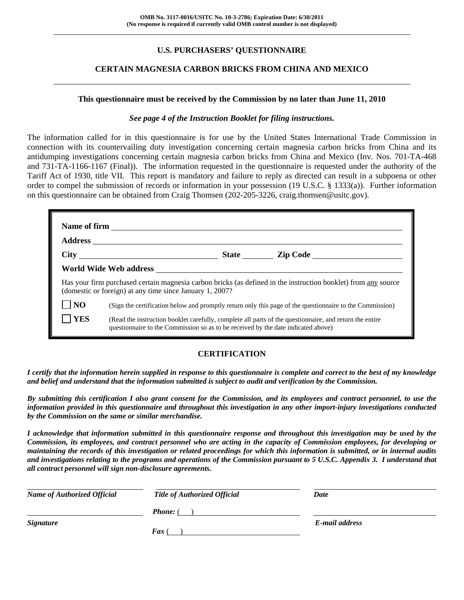# **U.S. PURCHASERS' QUESTIONNAIRE**

### **CERTAIN MAGNESIA CARBON BRICKS FROM CHINA AND MEXICO**

#### **This questionnaire must be received by the Commission by no later than June 11, 2010**

#### *See page 4 of the Instruction Booklet for filing instructions.*

The information called for in this questionnaire is for use by the United States International Trade Commission in connection with its countervailing duty investigation concerning certain magnesia carbon bricks from China and its antidumping investigations concerning certain magnesia carbon bricks from China and Mexico (Inv. Nos. 701-TA-468 and 731-TA-1166-1167 (Final)). The information requested in the questionnaire is requested under the authority of the Tariff Act of 1930, title VII. This report is mandatory and failure to reply as directed can result in a subpoena or other order to compel the submission of records or information in your possession (19 U.S.C. § 1333(a)). Further information on this questionnaire can be obtained from Craig Thomsen (202-205-3226, craig.thomsen@usitc.gov).

| Has your firm purchased certain magnesia carbon bricks (as defined in the instruction booklet) from any source<br>(domestic or foreign) at any time since January 1, 2007? |                                                                                                                                                                                              |  |  |  |  |
|----------------------------------------------------------------------------------------------------------------------------------------------------------------------------|----------------------------------------------------------------------------------------------------------------------------------------------------------------------------------------------|--|--|--|--|
| N <sub>O</sub>                                                                                                                                                             | (Sign the certification below and promptly return only this page of the questionnaire to the Commission)                                                                                     |  |  |  |  |
| <b>YES</b>                                                                                                                                                                 | (Read the instruction booklet carefully, complete all parts of the questionnaire, and return the entire<br>questionnaire to the Commission so as to be received by the date indicated above) |  |  |  |  |

## **CERTIFICATION**

*I certify that the information herein supplied in response to this questionnaire is complete and correct to the best of my knowledge and belief and understand that the information submitted is subject to audit and verification by the Commission.* 

*By submitting this certification I also grant consent for the Commission, and its employees and contract personnel, to use the information provided in this questionnaire and throughout this investigation in any other import-injury investigations conducted by the Commission on the same or similar merchandise.* 

*I acknowledge that information submitted in this questionnaire response and throughout this investigation may be used by the Commission, its employees, and contract personnel who are acting in the capacity of Commission employees, for developing or maintaining the records of this investigation or related proceedings for which this information is submitted, or in internal audits and investigations relating to the programs and operations of the Commission pursuant to 5 U.S.C. Appendix 3. I understand that all contract personnel will sign non-disclosure agreements.* 

| <b>Name of Authorized Official</b> | <b>Title of Authorized Official</b> | Date           |  |
|------------------------------------|-------------------------------------|----------------|--|
|                                    | <b>Phone:</b> (                     |                |  |
| <b>Signature</b>                   |                                     | E-mail address |  |
|                                    | $\boldsymbol{F}$ ax                 |                |  |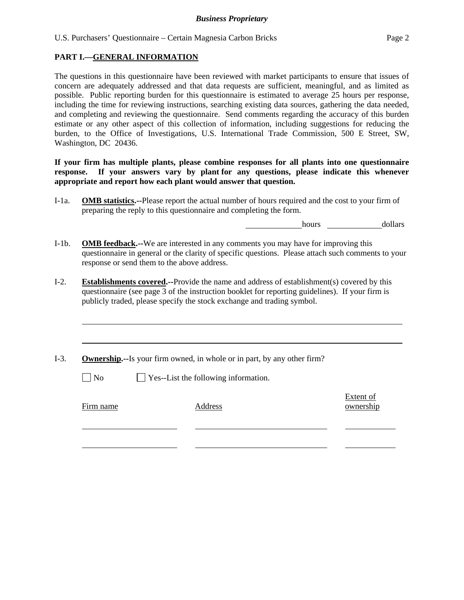U.S. Purchasers' Questionnaire – Certain Magnesia Carbon Bricks Page 2

### **PART I.—GENERAL INFORMATION**

The questions in this questionnaire have been reviewed with market participants to ensure that issues of concern are adequately addressed and that data requests are sufficient, meaningful, and as limited as possible. Public reporting burden for this questionnaire is estimated to average 25 hours per response, including the time for reviewing instructions, searching existing data sources, gathering the data needed, and completing and reviewing the questionnaire. Send comments regarding the accuracy of this burden estimate or any other aspect of this collection of information, including suggestions for reducing the burden, to the Office of Investigations, U.S. International Trade Commission, 500 E Street, SW, Washington, DC 20436.

### **If your firm has multiple plants, please combine responses for all plants into one questionnaire response. If your answers vary by plant for any questions, please indicate this whenever appropriate and report how each plant would answer that question.**

I-1a. **OMB statistics.--**Please report the actual number of hours required and the cost to your firm of preparing the reply to this questionnaire and completing the form.

hours dollars

- I-1b. **OMB feedback.--**We are interested in any comments you may have for improving this questionnaire in general or the clarity of specific questions. Please attach such comments to your response or send them to the above address.
- I-2. **Establishments covered.--**Provide the name and address of establishment(s) covered by this questionnaire (see page 3 of the instruction booklet for reporting guidelines). If your firm is publicly traded, please specify the stock exchange and trading symbol.
- I-3. **Ownership.--**Is your firm owned, in whole or in part, by any other firm?

 $\Box$  No  $\Box$  Yes--List the following information.

Firm name Address

 $\overline{a}$ 

l

l

Extent of ownership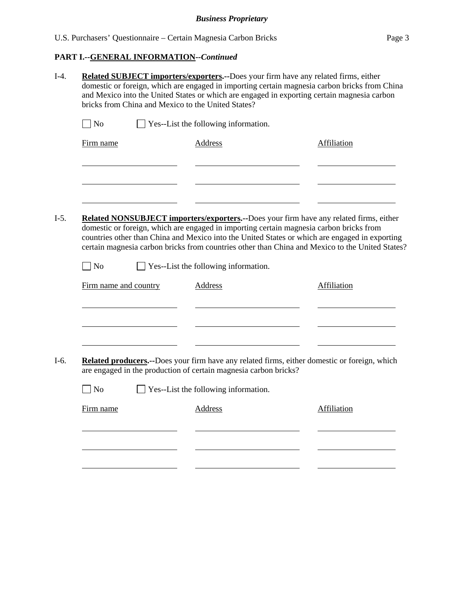# **PART I.--GENERAL INFORMATION***--Continued*

|                       | bricks from China and Mexico to the United States?               | <b>Related SUBJECT importers/exporters.--Does your firm have any related firms, either</b><br>domestic or foreign, which are engaged in importing certain magnesia carbon bricks from China<br>and Mexico into the United States or which are engaged in exporting certain magnesia carbon                                                                                             |
|-----------------------|------------------------------------------------------------------|----------------------------------------------------------------------------------------------------------------------------------------------------------------------------------------------------------------------------------------------------------------------------------------------------------------------------------------------------------------------------------------|
| $\big $ No            | Yes--List the following information.                             |                                                                                                                                                                                                                                                                                                                                                                                        |
| Firm name             | <b>Address</b>                                                   | Affiliation                                                                                                                                                                                                                                                                                                                                                                            |
|                       |                                                                  |                                                                                                                                                                                                                                                                                                                                                                                        |
|                       |                                                                  | Related NONSUBJECT importers/exporters.--Does your firm have any related firms, either<br>domestic or foreign, which are engaged in importing certain magnesia carbon bricks from<br>countries other than China and Mexico into the United States or which are engaged in exporting<br>certain magnesia carbon bricks from countries other than China and Mexico to the United States? |
| $ $ No                | Yes--List the following information.                             |                                                                                                                                                                                                                                                                                                                                                                                        |
|                       |                                                                  |                                                                                                                                                                                                                                                                                                                                                                                        |
| Firm name and country | <b>Address</b>                                                   | Affiliation                                                                                                                                                                                                                                                                                                                                                                            |
|                       |                                                                  |                                                                                                                                                                                                                                                                                                                                                                                        |
|                       |                                                                  |                                                                                                                                                                                                                                                                                                                                                                                        |
|                       | are engaged in the production of certain magnesia carbon bricks? | Related producers.--Does your firm have any related firms, either domestic or foreign, which                                                                                                                                                                                                                                                                                           |
| N <sub>o</sub>        | Yes--List the following information.                             |                                                                                                                                                                                                                                                                                                                                                                                        |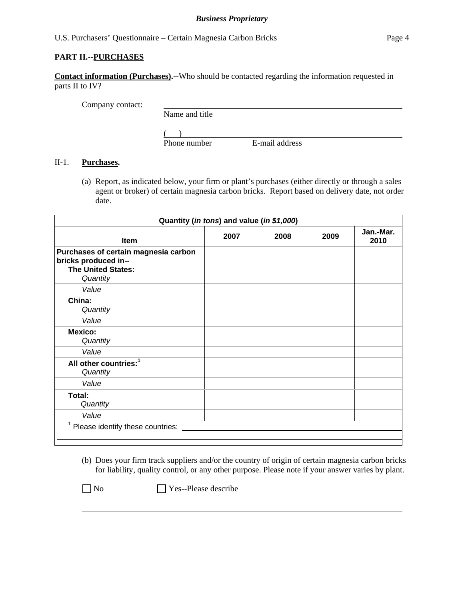### *Business Proprietary*

#### U.S. Purchasers' Questionnaire – Certain Magnesia Carbon Bricks Page 4

### **PART II.--PURCHASES**

**Contact information (Purchases).--**Who should be contacted regarding the information requested in parts II to IV?

Company contact:

Name and title

 $($ 

Phone number E-mail address

### II-1. **Purchases.**

(a) Report, as indicated below, your firm or plant's purchases (either directly or through a sales agent or broker) of certain magnesia carbon bricks. Report based on delivery date, not order date.

| Quantity (in tons) and value (in \$1,000)                                                             |      |      |      |                   |
|-------------------------------------------------------------------------------------------------------|------|------|------|-------------------|
| <b>Item</b>                                                                                           | 2007 | 2008 | 2009 | Jan.-Mar.<br>2010 |
| Purchases of certain magnesia carbon<br>bricks produced in--<br><b>The United States:</b><br>Quantity |      |      |      |                   |
| Value                                                                                                 |      |      |      |                   |
| China:<br>Quantity                                                                                    |      |      |      |                   |
| Value                                                                                                 |      |      |      |                   |
| <b>Mexico:</b><br>Quantity                                                                            |      |      |      |                   |
| Value                                                                                                 |      |      |      |                   |
| All other countries: <sup>1</sup><br>Quantity                                                         |      |      |      |                   |
| Value                                                                                                 |      |      |      |                   |
| Total:<br>Quantity                                                                                    |      |      |      |                   |
| Value                                                                                                 |      |      |      |                   |
| <sup>1</sup> Please identify these countries:                                                         |      |      |      |                   |
|                                                                                                       |      |      |      |                   |

(b) Does your firm track suppliers and/or the country of origin of certain magnesia carbon bricks for liability, quality control, or any other purpose. Please note if your answer varies by plant.

 $\overline{a}$ 

No **Yes--Please describe**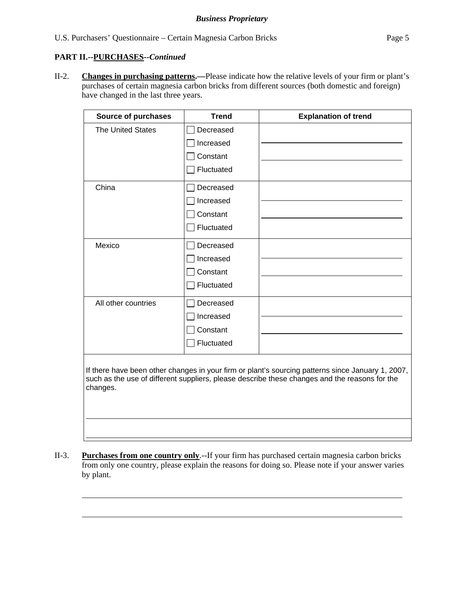### **PART II.--PURCHASES***--Continued*

l

l

 $\overline{a}$ 

 $\overline{a}$ 

II-2. **Changes in purchasing patterns.—**Please indicate how the relative levels of your firm or plant's purchases of certain magnesia carbon bricks from different sources (both domestic and foreign) have changed in the last three years.

| <b>Source of purchases</b> | <b>Trend</b> | <b>Explanation of trend</b> |
|----------------------------|--------------|-----------------------------|
| <b>The United States</b>   | Decreased    |                             |
|                            | Increased    |                             |
|                            | Constant     |                             |
|                            | Fluctuated   |                             |
| China                      | Decreased    |                             |
|                            | Increased    |                             |
|                            | Constant     |                             |
|                            | Fluctuated   |                             |
| Mexico                     | Decreased    |                             |
|                            | Increased    |                             |
|                            | Constant     |                             |
|                            | Fluctuated   |                             |
| All other countries        | Decreased    |                             |
|                            | Increased    |                             |
|                            | Constant     |                             |
|                            | Fluctuated   |                             |
|                            |              |                             |

If there have been other changes in your firm or plant's sourcing patterns since January 1, 2007, such as the use of different suppliers, please describe these changes and the reasons for the changes.

II-3. **Purchases from one country only**.--If your firm has purchased certain magnesia carbon bricks from only one country, please explain the reasons for doing so. Please note if your answer varies by plant.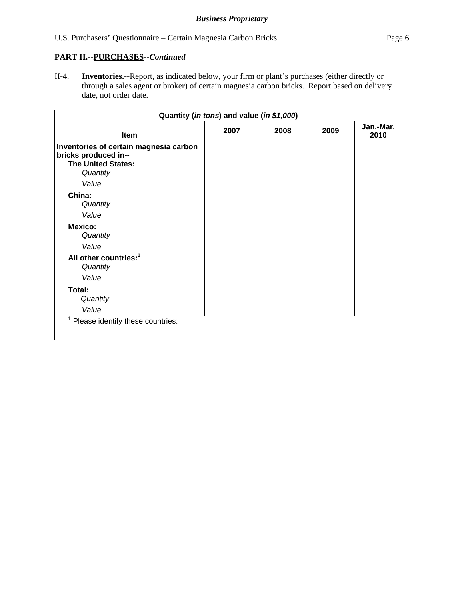# **PART II.--PURCHASES***--Continued*

II-4. **Inventories.--**Report, as indicated below, your firm or plant's purchases (either directly or through a sales agent or broker) of certain magnesia carbon bricks. Report based on delivery date, not order date.

| Quantity (in tons) and value (in \$1,000) |      |      |                   |  |
|-------------------------------------------|------|------|-------------------|--|
| 2007                                      | 2008 | 2009 | Jan.-Mar.<br>2010 |  |
|                                           |      |      |                   |  |
|                                           |      |      |                   |  |
|                                           |      |      |                   |  |
|                                           |      |      |                   |  |
|                                           |      |      |                   |  |
|                                           |      |      |                   |  |
|                                           |      |      |                   |  |
|                                           |      |      |                   |  |
|                                           |      |      |                   |  |
|                                           |      |      |                   |  |
| 1.<br>Please identify these countries:    |      |      |                   |  |
|                                           |      |      |                   |  |
|                                           |      |      |                   |  |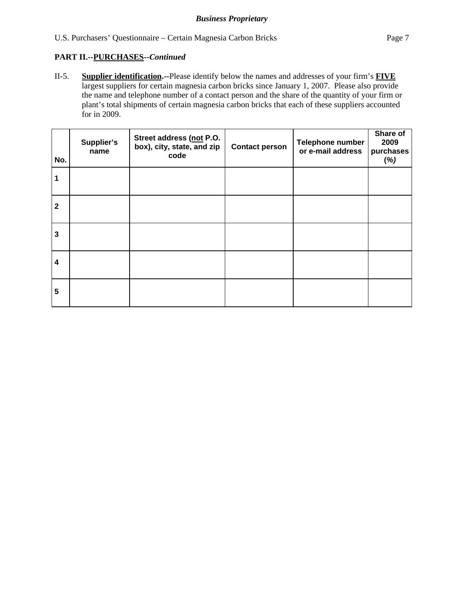## **PART II.--PURCHASES***--Continued*

II-5. **Supplier identification.--**Please identify below the names and addresses of your firm's **FIVE** largest suppliers for certain magnesia carbon bricks since January 1, 2007. Please also provide the name and telephone number of a contact person and the share of the quantity of your firm or plant's total shipments of certain magnesia carbon bricks that each of these suppliers accounted for in 2009.

| No.                     | Supplier's<br>name | Street address (not P.O.<br>box), city, state, and zip<br>code | <b>Contact person</b> | Telephone number<br>or e-mail address | Share of<br>2009<br>purchases<br>(%) |
|-------------------------|--------------------|----------------------------------------------------------------|-----------------------|---------------------------------------|--------------------------------------|
|                         |                    |                                                                |                       |                                       |                                      |
| $\mathbf{2}$            |                    |                                                                |                       |                                       |                                      |
| $\mathbf{3}$            |                    |                                                                |                       |                                       |                                      |
| $\overline{\mathbf{4}}$ |                    |                                                                |                       |                                       |                                      |
| $5\phantom{.0}$         |                    |                                                                |                       |                                       |                                      |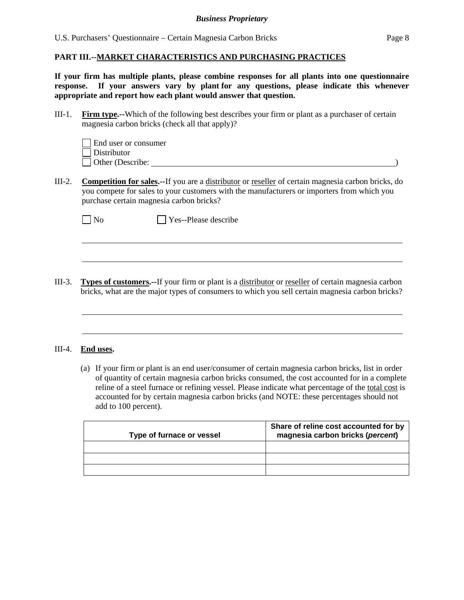U.S. Purchasers' Questionnaire – Certain Magnesia Carbon Bricks Page 8

#### **PART III.--MARKET CHARACTERISTICS AND PURCHASING PRACTICES**

**If your firm has multiple plants, please combine responses for all plants into one questionnaire response. If your answers vary by plant for any questions, please indicate this whenever appropriate and report how each plant would answer that question.** 

III-1. **Firm type.--**Which of the following best describes your firm or plant as a purchaser of certain magnesia carbon bricks (check all that apply)?

| End user or consumer     |  |  |
|--------------------------|--|--|
| $\Box$ Distributor       |  |  |
| $\vert$ Other (Describe: |  |  |

III-2. **Competition for sales.--**If you are a distributor or reseller of certain magnesia carbon bricks, do you compete for sales to your customers with the manufacturers or importers from which you purchase certain magnesia carbon bricks?

|--|--|

 $\overline{a}$ 

o **No Pres--Please describe** 

III-3. **Types of customers.--**If your firm or plant is a distributor or reseller of certain magnesia carbon bricks, what are the major types of consumers to which you sell certain magnesia carbon bricks?

#### III-4. **End uses.**

 $\overline{a}$ 

(a) If your firm or plant is an end user/consumer of certain magnesia carbon bricks, list in order of quantity of certain magnesia carbon bricks consumed, the cost accounted for in a complete reline of a steel furnace or refining vessel. Please indicate what percentage of the total cost is accounted for by certain magnesia carbon bricks (and NOTE: these percentages should not add to 100 percent).

| Type of furnace or vessel | Share of reline cost accounted for by<br>magnesia carbon bricks (percent) |
|---------------------------|---------------------------------------------------------------------------|
|                           |                                                                           |
|                           |                                                                           |
|                           |                                                                           |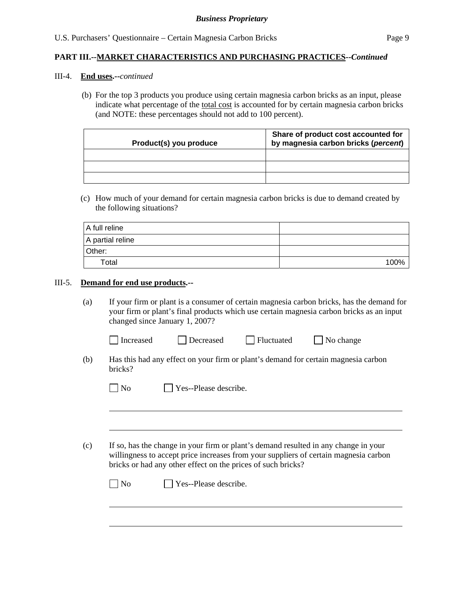#### III-4. **End uses.--***continued*

(b) For the top 3 products you produce using certain magnesia carbon bricks as an input, please indicate what percentage of the total cost is accounted for by certain magnesia carbon bricks (and NOTE: these percentages should not add to 100 percent).

| Product(s) you produce | Share of product cost accounted for<br>by magnesia carbon bricks (percent) |
|------------------------|----------------------------------------------------------------------------|
|                        |                                                                            |
|                        |                                                                            |
|                        |                                                                            |

(c) How much of your demand for certain magnesia carbon bricks is due to demand created by the following situations?

| A full reline    |      |
|------------------|------|
| A partial reline |      |
| Other:           |      |
| Total            | 100% |

#### III-5. **Demand for end use products.--**

 $\overline{a}$ 

 $\overline{a}$ 

(a) If your firm or plant is a consumer of certain magnesia carbon bricks, has the demand for your firm or plant's final products which use certain magnesia carbon bricks as an input changed since January 1, 2007?

| Increased | $\Box$ Fluctuated |
|-----------|-------------------|
| Decreased | $\Box$ No change  |

(b) Has this had any effect on your firm or plant's demand for certain magnesia carbon bricks?

| $\Box$ No | $\Box$ Yes--Please describe. |
|-----------|------------------------------|
|           |                              |

(c) If so, has the change in your firm or plant's demand resulted in any change in your willingness to accept price increases from your suppliers of certain magnesia carbon bricks or had any other effect on the prices of such bricks?

| $\Box$ No | $\Box$ Yes--Please describe. |
|-----------|------------------------------|
|           |                              |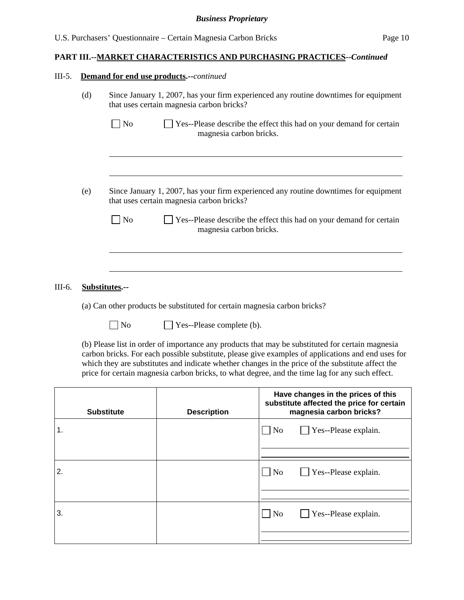#### III-5. **Demand for end use products.--***continued*

| (d) | Since January 1, 2007, has your firm experienced any routine downtimes for equipment<br>that uses certain magnesia carbon bricks? |
|-----|-----------------------------------------------------------------------------------------------------------------------------------|
|     | Yes--Please describe the effect this had on your demand for certain<br>N <sub>0</sub><br>magnesia carbon bricks.                  |
|     |                                                                                                                                   |
| (e) | Since January 1, 2007, has your firm experienced any routine downtimes for equipment<br>that uses certain magnesia carbon bricks? |
|     | Yes--Please describe the effect this had on your demand for certain<br>N <sub>o</sub><br>magnesia carbon bricks.                  |
|     |                                                                                                                                   |
|     |                                                                                                                                   |

## III-6. **Substitutes.--**

(a) Can other products be substituted for certain magnesia carbon bricks?

No **No** Yes--Please complete (b).

 (b) Please list in order of importance any products that may be substituted for certain magnesia carbon bricks. For each possible substitute, please give examples of applications and end uses for which they are substitutes and indicate whether changes in the price of the substitute affect the price for certain magnesia carbon bricks, to what degree, and the time lag for any such effect.

| <b>Substitute</b> | <b>Description</b> | Have changes in the prices of this<br>substitute affected the price for certain<br>magnesia carbon bricks? |  |  |
|-------------------|--------------------|------------------------------------------------------------------------------------------------------------|--|--|
| 1.                |                    | $\Box$ Yes--Please explain.<br>N <sub>o</sub>                                                              |  |  |
|                   |                    |                                                                                                            |  |  |
| 2.                |                    | $\Box$ Yes--Please explain.<br>N <sub>o</sub>                                                              |  |  |
|                   |                    |                                                                                                            |  |  |
| 3.                |                    | $\Box$ Yes--Please explain.<br>N <sub>o</sub>                                                              |  |  |
|                   |                    |                                                                                                            |  |  |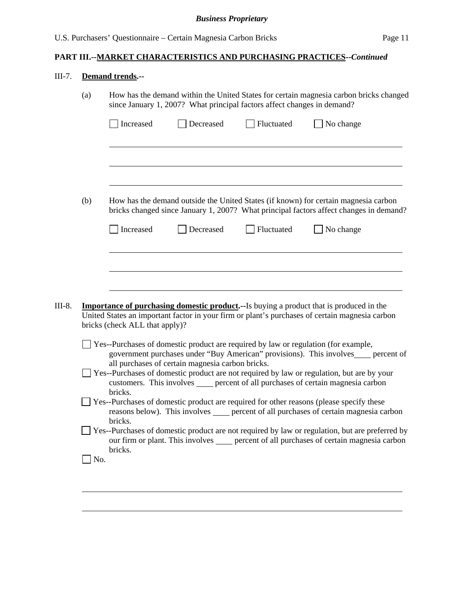# III-7. **Demand trends.--**

l

|     |                                | since January 1, 2007? What principal factors affect changes in demand? |            | How has the demand within the United States for certain magnesia carbon bricks changed                                                                                                            |
|-----|--------------------------------|-------------------------------------------------------------------------|------------|---------------------------------------------------------------------------------------------------------------------------------------------------------------------------------------------------|
|     | Increased                      | Decreased                                                               | Fluctuated | No change                                                                                                                                                                                         |
|     |                                |                                                                         |            |                                                                                                                                                                                                   |
| (b) |                                |                                                                         |            | How has the demand outside the United States (if known) for certain magnesia carbon<br>bricks changed since January 1, 2007? What principal factors affect changes in demand?                     |
|     | Increased                      | Decreased                                                               | Fluctuated | No change                                                                                                                                                                                         |
|     |                                |                                                                         |            |                                                                                                                                                                                                   |
|     |                                |                                                                         |            | <b>Importance of purchasing domestic product.</b> --Is buying a product that is produced in the<br>United States an important factor in your firm or plant's purchases of certain magnesia carbon |
|     | bricks (check ALL that apply)? |                                                                         |            |                                                                                                                                                                                                   |
|     |                                |                                                                         |            | Yes--Purchases of domestic product are required by law or regulation (for example,<br>government purchases under "Buy American" provisions). This involves____ percent of                         |
|     |                                | all purchases of certain magnesia carbon bricks.                        |            | Yes--Purchases of domestic product are not required by law or regulation, but are by your<br>customers. This involves _____ percent of all purchases of certain magnesia carbon                   |
|     | bricks.                        |                                                                         |            | Yes--Purchases of domestic product are required for other reasons (please specify these<br>reasons below). This involves _____ percent of all purchases of certain magnesia carbon                |
|     | bricks.<br>bricks.             |                                                                         |            | Yes--Purchases of domestic product are not required by law or regulation, but are preferred by<br>our firm or plant. This involves _____ percent of all purchases of certain magnesia carbon      |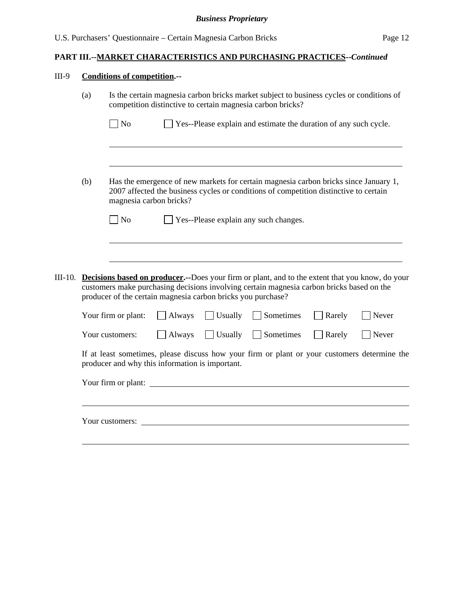# III-9 **Conditions of competition.--**

|         | Is the certain magnesia carbon bricks market subject to business cycles or conditions of<br>(a)<br>competition distinctive to certain magnesia carbon bricks? |                                                 |                |                |                                                                                                                                                                                              |        |       |
|---------|---------------------------------------------------------------------------------------------------------------------------------------------------------------|-------------------------------------------------|----------------|----------------|----------------------------------------------------------------------------------------------------------------------------------------------------------------------------------------------|--------|-------|
|         |                                                                                                                                                               | $\log$                                          |                |                | Yes--Please explain and estimate the duration of any such cycle.                                                                                                                             |        |       |
|         |                                                                                                                                                               |                                                 |                |                |                                                                                                                                                                                              |        |       |
|         | (b)                                                                                                                                                           | magnesia carbon bricks?                         |                |                | Has the emergence of new markets for certain magnesia carbon bricks since January 1,<br>2007 affected the business cycles or conditions of competition distinctive to certain                |        |       |
|         |                                                                                                                                                               | N <sub>o</sub>                                  |                |                | Yes--Please explain any such changes.                                                                                                                                                        |        |       |
| III-10. |                                                                                                                                                               |                                                 |                |                | Decisions based on producer.--Does your firm or plant, and to the extent that you know, do your<br>customers make purchasing decisions involving certain magnesia carbon bricks based on the |        |       |
|         | producer of the certain magnesia carbon bricks you purchase?                                                                                                  |                                                 |                |                |                                                                                                                                                                                              |        |       |
|         |                                                                                                                                                               | Your firm or plant:                             | $\vert$ Always | $\Box$ Usually | Sometimes                                                                                                                                                                                    | Rarely | Never |
|         |                                                                                                                                                               | Your customers:                                 | $\Box$ Always  | $\Box$ Usually | Sometimes                                                                                                                                                                                    | Rarely | Never |
|         |                                                                                                                                                               | producer and why this information is important. |                |                | If at least sometimes, please discuss how your firm or plant or your customers determine the                                                                                                 |        |       |
|         |                                                                                                                                                               |                                                 |                |                | Your firm or plant:                                                                                                                                                                          |        |       |
|         |                                                                                                                                                               | Your customers:                                 |                |                |                                                                                                                                                                                              |        |       |
|         |                                                                                                                                                               |                                                 |                |                |                                                                                                                                                                                              |        |       |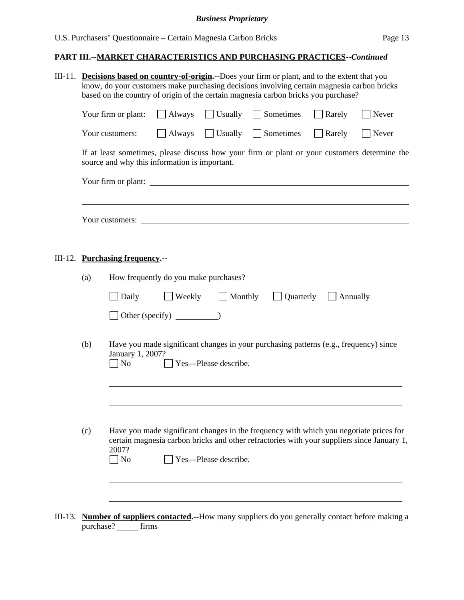| III-11. |     |                                       |                                               |                              | <b>Decisions based on country-of-origin.</b> --Does your firm or plant, and to the extent that you<br>know, do your customers make purchasing decisions involving certain magnesia carbon bricks<br>based on the country of origin of the certain magnesia carbon bricks you purchase? |                           |       |
|---------|-----|---------------------------------------|-----------------------------------------------|------------------------------|----------------------------------------------------------------------------------------------------------------------------------------------------------------------------------------------------------------------------------------------------------------------------------------|---------------------------|-------|
|         |     | Your firm or plant:                   | <b>Always</b>                                 |                              | Usually Sometimes                                                                                                                                                                                                                                                                      | Rarely                    | Never |
|         |     | Your customers:                       | Always                                        |                              | $\Box$ Usually $\Box$ Sometimes                                                                                                                                                                                                                                                        | Rarely                    | Never |
|         |     |                                       | source and why this information is important. |                              | If at least sometimes, please discuss how your firm or plant or your customers determine the                                                                                                                                                                                           |                           |       |
|         |     | Your firm or plant:                   |                                               |                              | <u> 1989 - Johann John Stein, mars an deus Amerikaansk kommunister (</u>                                                                                                                                                                                                               |                           |       |
|         |     |                                       |                                               |                              | Your customers: <u>containing</u>                                                                                                                                                                                                                                                      |                           |       |
|         |     | III-12. Purchasing frequency.--       |                                               |                              |                                                                                                                                                                                                                                                                                        |                           |       |
|         | (a) |                                       | How frequently do you make purchases?         |                              |                                                                                                                                                                                                                                                                                        |                           |       |
|         |     | Daily                                 |                                               | $\Box$ Weekly $\Box$ Monthly |                                                                                                                                                                                                                                                                                        | Quarterly $\Box$ Annually |       |
|         |     |                                       | Other (specify) $\qquad \qquad$               |                              |                                                                                                                                                                                                                                                                                        |                           |       |
|         | (b) | January 1, 2007?<br>$\blacksquare$ No |                                               | Yes-Please describe.         | Have you made significant changes in your purchasing patterns (e.g., frequency) since                                                                                                                                                                                                  |                           |       |
|         |     |                                       |                                               |                              |                                                                                                                                                                                                                                                                                        |                           |       |
|         | (c) | 2007?<br>$\Box$ No                    |                                               | Yes-Please describe.         | Have you made significant changes in the frequency with which you negotiate prices for<br>certain magnesia carbon bricks and other refractories with your suppliers since January 1,                                                                                                   |                           |       |
|         |     |                                       |                                               |                              |                                                                                                                                                                                                                                                                                        |                           |       |
|         |     |                                       |                                               |                              | III-13. Number of suppliers contacted.--How many suppliers do you generally contact before making a                                                                                                                                                                                    |                           |       |

purchase? \_\_\_\_\_\_ firms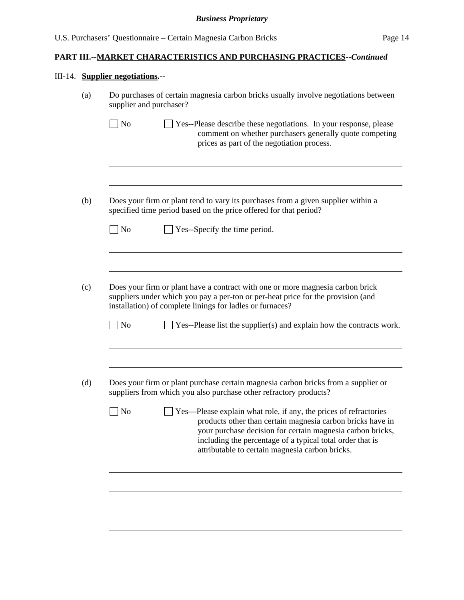# III-14. **Supplier negotiations.--**

| supplier and purchaser? | Do purchases of certain magnesia carbon bricks usually involve negotiations between                                                                                                                                                                                                                                 |
|-------------------------|---------------------------------------------------------------------------------------------------------------------------------------------------------------------------------------------------------------------------------------------------------------------------------------------------------------------|
| N <sub>o</sub>          | Yes--Please describe these negotiations. In your response, please<br>comment on whether purchasers generally quote competing<br>prices as part of the negotiation process.                                                                                                                                          |
|                         | Does your firm or plant tend to vary its purchases from a given supplier within a<br>specified time period based on the price offered for that period?                                                                                                                                                              |
| $\vert$ No              | Yes--Specify the time period.                                                                                                                                                                                                                                                                                       |
|                         | Does your firm or plant have a contract with one or more magnesia carbon brick<br>suppliers under which you pay a per-ton or per-heat price for the provision (and<br>installation) of complete linings for ladles or furnaces?                                                                                     |
| N <sub>o</sub>          | Yes--Please list the supplier(s) and explain how the contracts work.                                                                                                                                                                                                                                                |
| No                      | Does your firm or plant purchase certain magnesia carbon bricks from a supplier or<br>suppliers from which you also purchase other refractory products?                                                                                                                                                             |
|                         | $\Box$ Yes—Please explain what role, if any, the prices of refractories<br>products other than certain magnesia carbon bricks have in<br>your purchase decision for certain magnesia carbon bricks,<br>including the percentage of a typical total order that is<br>attributable to certain magnesia carbon bricks. |
|                         |                                                                                                                                                                                                                                                                                                                     |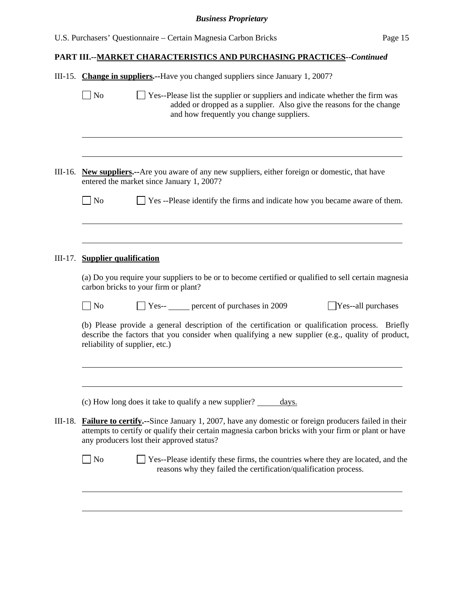|         | III-15. Change in suppliers.--Have you changed suppliers since January 1, 2007?                                                                                                                                                                        |
|---------|--------------------------------------------------------------------------------------------------------------------------------------------------------------------------------------------------------------------------------------------------------|
|         | N <sub>o</sub><br>Yes--Please list the supplier or suppliers and indicate whether the firm was<br>added or dropped as a supplier. Also give the reasons for the change<br>and how frequently you change suppliers.                                     |
| III-16. | <b>New suppliers.</b> --Are you aware of any new suppliers, either foreign or domestic, that have                                                                                                                                                      |
|         | entered the market since January 1, 2007?                                                                                                                                                                                                              |
|         | $\Box$ No<br>Yes --Please identify the firms and indicate how you became aware of them.                                                                                                                                                                |
|         |                                                                                                                                                                                                                                                        |
| III-17. | <b>Supplier qualification</b>                                                                                                                                                                                                                          |
|         | (a) Do you require your suppliers to be or to become certified or qualified to sell certain magnesia<br>carbon bricks to your firm or plant?                                                                                                           |
|         | Yes-- _____ percent of purchases in 2009<br>Yes--all purchases<br>$\overline{\phantom{a}}$ No                                                                                                                                                          |
|         | (b) Please provide a general description of the certification or qualification process. Briefly<br>describe the factors that you consider when qualifying a new supplier (e.g., quality of product,<br>reliability of supplier, etc.)                  |
|         |                                                                                                                                                                                                                                                        |
|         | (c) How long does it take to qualify a new supplier?<br><u>days.</u>                                                                                                                                                                                   |
| III-18. | Failure to certify.--Since January 1, 2007, have any domestic or foreign producers failed in their<br>attempts to certify or qualify their certain magnesia carbon bricks with your firm or plant or have<br>any producers lost their approved status? |
|         | $\log$<br>Yes--Please identify these firms, the countries where they are located, and the<br>reasons why they failed the certification/qualification process.                                                                                          |
|         |                                                                                                                                                                                                                                                        |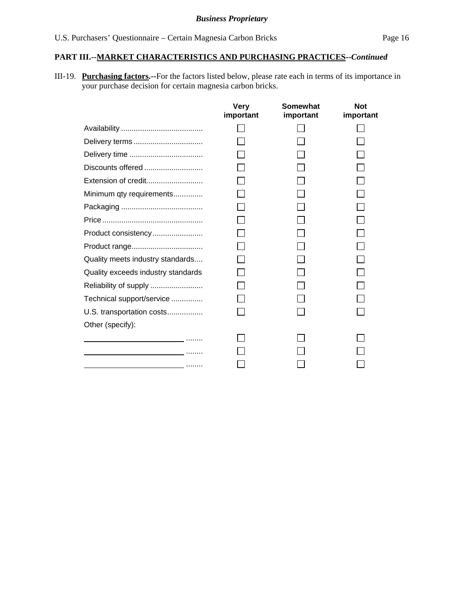III-19. **Purchasing factors.--**For the factors listed below, please rate each in terms of its importance in your purchase decision for certain magnesia carbon bricks.

|                                                                                                                 | <b>Very</b><br>important | <b>Somewhat</b><br>important | <b>Not</b><br>important |
|-----------------------------------------------------------------------------------------------------------------|--------------------------|------------------------------|-------------------------|
|                                                                                                                 |                          |                              |                         |
| Delivery terms                                                                                                  |                          |                              |                         |
|                                                                                                                 |                          |                              |                         |
| Discounts offered                                                                                               |                          |                              |                         |
| Extension of credit                                                                                             |                          |                              |                         |
| Minimum qty requirements                                                                                        |                          |                              |                         |
|                                                                                                                 |                          |                              |                         |
|                                                                                                                 |                          |                              |                         |
| Product consistency                                                                                             |                          |                              |                         |
|                                                                                                                 |                          |                              |                         |
| Quality meets industry standards                                                                                |                          |                              |                         |
| Quality exceeds industry standards                                                                              |                          |                              |                         |
| Reliability of supply                                                                                           |                          |                              |                         |
| Technical support/service                                                                                       |                          |                              |                         |
| U.S. transportation costs                                                                                       |                          |                              |                         |
| Other (specify):                                                                                                |                          |                              |                         |
| the contract of the contract of the contract of the contract of the contract of the contract of the contract of |                          |                              |                         |
|                                                                                                                 |                          |                              |                         |
| <u> 1989 - Johann Barbert, amerikansk politiker (</u> † 1919)                                                   |                          |                              |                         |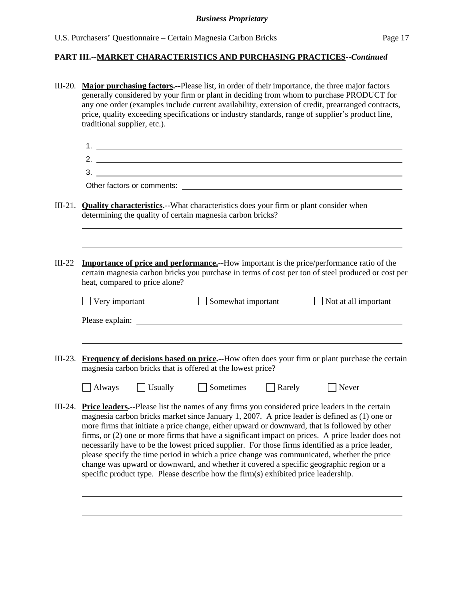|          | III-20. Major purchasing factors.--Please list, in order of their importance, the three major factors<br>generally considered by your firm or plant in deciding from whom to purchase PRODUCT for<br>any one order (examples include current availability, extension of credit, prearranged contracts,<br>price, quality exceeding specifications or industry standards, range of supplier's product line,<br>traditional supplier, etc.).                                                                                                                                                                                                                                                                                                                                                      |  |  |  |  |
|----------|-------------------------------------------------------------------------------------------------------------------------------------------------------------------------------------------------------------------------------------------------------------------------------------------------------------------------------------------------------------------------------------------------------------------------------------------------------------------------------------------------------------------------------------------------------------------------------------------------------------------------------------------------------------------------------------------------------------------------------------------------------------------------------------------------|--|--|--|--|
|          | $1.$ $\overline{\phantom{a}}$                                                                                                                                                                                                                                                                                                                                                                                                                                                                                                                                                                                                                                                                                                                                                                   |  |  |  |  |
|          |                                                                                                                                                                                                                                                                                                                                                                                                                                                                                                                                                                                                                                                                                                                                                                                                 |  |  |  |  |
|          |                                                                                                                                                                                                                                                                                                                                                                                                                                                                                                                                                                                                                                                                                                                                                                                                 |  |  |  |  |
|          |                                                                                                                                                                                                                                                                                                                                                                                                                                                                                                                                                                                                                                                                                                                                                                                                 |  |  |  |  |
|          | III-21. <b>Quality characteristics.</b> --What characteristics does your firm or plant consider when<br>determining the quality of certain magnesia carbon bricks?                                                                                                                                                                                                                                                                                                                                                                                                                                                                                                                                                                                                                              |  |  |  |  |
| $III-22$ | <b>Importance of price and performance.</b> --How important is the price/performance ratio of the<br>certain magnesia carbon bricks you purchase in terms of cost per ton of steel produced or cost per<br>heat, compared to price alone?                                                                                                                                                                                                                                                                                                                                                                                                                                                                                                                                                       |  |  |  |  |
|          | Somewhat important<br>$\Box$ Very important<br>$\Box$ Not at all important<br>Please explain: Note also a series and the series of the series of the series of the series of the series of the series of the series of the series of the series of the series of the series of the series of the series of t                                                                                                                                                                                                                                                                                                                                                                                                                                                                                    |  |  |  |  |
|          | III-23. Frequency of decisions based on price.--How often does your firm or plant purchase the certain<br>magnesia carbon bricks that is offered at the lowest price?                                                                                                                                                                                                                                                                                                                                                                                                                                                                                                                                                                                                                           |  |  |  |  |
|          | Always Usually Sometimes Rarely<br>$\Box$ Never                                                                                                                                                                                                                                                                                                                                                                                                                                                                                                                                                                                                                                                                                                                                                 |  |  |  |  |
|          | III-24. Price leaders.--Please list the names of any firms you considered price leaders in the certain<br>magnesia carbon bricks market since January 1, 2007. A price leader is defined as (1) one or<br>more firms that initiate a price change, either upward or downward, that is followed by other<br>firms, or (2) one or more firms that have a significant impact on prices. A price leader does not<br>necessarily have to be the lowest priced supplier. For those firms identified as a price leader,<br>please specify the time period in which a price change was communicated, whether the price<br>change was upward or downward, and whether it covered a specific geographic region or a<br>specific product type. Please describe how the firm(s) exhibited price leadership. |  |  |  |  |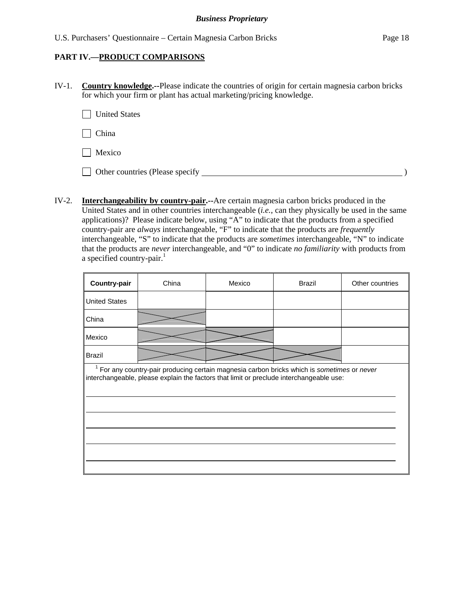### **PART IV.—PRODUCT COMPARISONS**

IV-1. **Country knowledge.--**Please indicate the countries of origin for certain magnesia carbon bricks for which your firm or plant has actual marketing/pricing knowledge.

**United States** 

China

**Mexico** 

Other countries (Please specify )

IV-2. **Interchangeability by country-pair.--**Are certain magnesia carbon bricks produced in the United States and in other countries interchangeable (*i.e.*, can they physically be used in the same applications)? Please indicate below, using "A" to indicate that the products from a specified country-pair are *always* interchangeable, "F" to indicate that the products are *frequently* interchangeable, "S" to indicate that the products are *sometimes* interchangeable, "N" to indicate that the products are *never* interchangeable, and "0" to indicate *no familiarity* with products from a specified country-pair. $\frac{1}{1}$ 

| Country-pair                                                                                                                                                                             | China | Mexico | <b>Brazil</b> | Other countries |  |  |  |  |  |
|------------------------------------------------------------------------------------------------------------------------------------------------------------------------------------------|-------|--------|---------------|-----------------|--|--|--|--|--|
| <b>United States</b>                                                                                                                                                                     |       |        |               |                 |  |  |  |  |  |
| China                                                                                                                                                                                    |       |        |               |                 |  |  |  |  |  |
| Mexico                                                                                                                                                                                   |       |        |               |                 |  |  |  |  |  |
| <b>Brazil</b>                                                                                                                                                                            |       |        |               |                 |  |  |  |  |  |
| $1$ For any country-pair producing certain magnesia carbon bricks which is sometimes or never<br>interchangeable, please explain the factors that limit or preclude interchangeable use: |       |        |               |                 |  |  |  |  |  |
|                                                                                                                                                                                          |       |        |               |                 |  |  |  |  |  |
|                                                                                                                                                                                          |       |        |               |                 |  |  |  |  |  |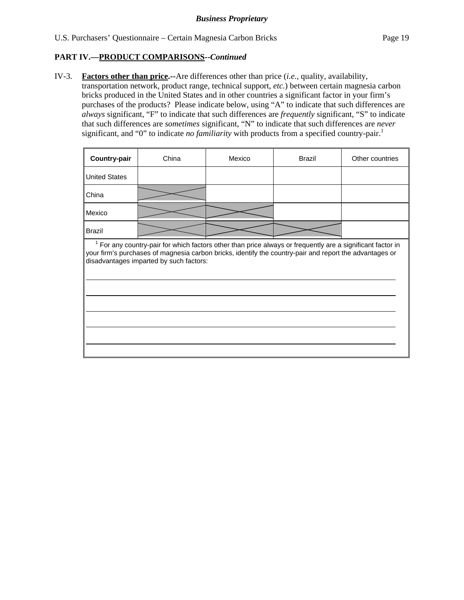IV-3. **Factors other than price.--**Are differences other than price (*i.e.*, quality, availability, transportation network, product range, technical support, *etc.*) between certain magnesia carbon bricks produced in the United States and in other countries a significant factor in your firm's purchases of the products? Please indicate below, using "A" to indicate that such differences are *always* significant, "F" to indicate that such differences are *frequently* significant, "S" to indicate that such differences are *sometimes* significant, "N" to indicate that such differences are *never* significant, and "0" to indicate *no familiarity* with products from a specified country-pair.<sup>1</sup>

| <b>Country-pair</b>                                                                                                                                                                                                                                            | China | Mexico | <b>Brazil</b> | Other countries |  |  |  |  |
|----------------------------------------------------------------------------------------------------------------------------------------------------------------------------------------------------------------------------------------------------------------|-------|--------|---------------|-----------------|--|--|--|--|
| <b>United States</b>                                                                                                                                                                                                                                           |       |        |               |                 |  |  |  |  |
| China                                                                                                                                                                                                                                                          |       |        |               |                 |  |  |  |  |
| Mexico                                                                                                                                                                                                                                                         |       |        |               |                 |  |  |  |  |
| <b>Brazil</b>                                                                                                                                                                                                                                                  |       |        |               |                 |  |  |  |  |
| For any country-pair for which factors other than price always or frequently are a significant factor in<br>your firm's purchases of magnesia carbon bricks, identify the country-pair and report the advantages or<br>disadvantages imparted by such factors: |       |        |               |                 |  |  |  |  |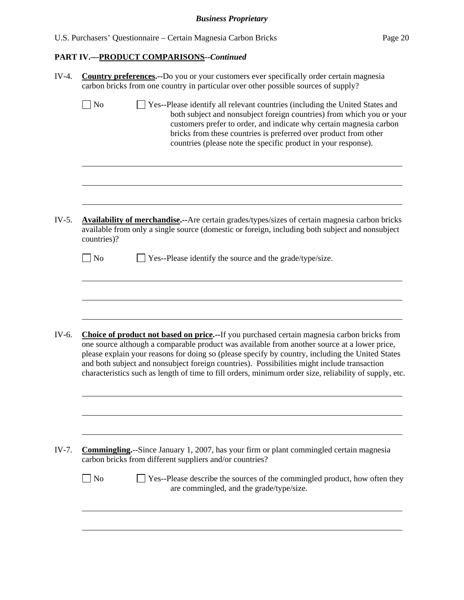| U.S. Purchasers' Questionnaire – Certain Magnesia Carbon Bricks | Page 20 |
|-----------------------------------------------------------------|---------|
|-----------------------------------------------------------------|---------|

|                             | <b>Country preferences.</b> --Do you or your customers ever specifically order certain magnesia<br>carbon bricks from one country in particular over other possible sources of supply?                                                                                                                                                                                                                                                                                                                   |
|-----------------------------|----------------------------------------------------------------------------------------------------------------------------------------------------------------------------------------------------------------------------------------------------------------------------------------------------------------------------------------------------------------------------------------------------------------------------------------------------------------------------------------------------------|
| $\Box$ No                   | □ Yes--Please identify all relevant countries (including the United States and<br>both subject and nonsubject foreign countries) from which you or your<br>customers prefer to order, and indicate why certain magnesia carbon<br>bricks from these countries is preferred over product from other<br>countries (please note the specific product in your response).                                                                                                                                     |
|                             |                                                                                                                                                                                                                                                                                                                                                                                                                                                                                                          |
| countries)?                 | <b>Availability of merchandise.</b> --Are certain grades/types/sizes of certain magnesia carbon bricks<br>available from only a single source (domestic or foreign, including both subject and nonsubject                                                                                                                                                                                                                                                                                                |
| $\overline{\phantom{a}}$ No | Yes--Please identify the source and the grade/type/size.                                                                                                                                                                                                                                                                                                                                                                                                                                                 |
|                             |                                                                                                                                                                                                                                                                                                                                                                                                                                                                                                          |
|                             | Choice of product not based on price.--If you purchased certain magnesia carbon bricks from<br>one source although a comparable product was available from another source at a lower price,<br>please explain your reasons for doing so (please specify by country, including the United States<br>and both subject and nonsubject foreign countries). Possibilities might include transaction<br>characteristics such as length of time to fill orders, minimum order size, reliability of supply, etc. |
|                             |                                                                                                                                                                                                                                                                                                                                                                                                                                                                                                          |
|                             | <b>Commingling.</b> -Since January 1, 2007, has your firm or plant commingled certain magnesia<br>carbon bricks from different suppliers and/or countries?                                                                                                                                                                                                                                                                                                                                               |
| No                          | Yes--Please describe the sources of the commingled product, how often they<br>are commingled, and the grade/type/size.                                                                                                                                                                                                                                                                                                                                                                                   |
|                             |                                                                                                                                                                                                                                                                                                                                                                                                                                                                                                          |
|                             |                                                                                                                                                                                                                                                                                                                                                                                                                                                                                                          |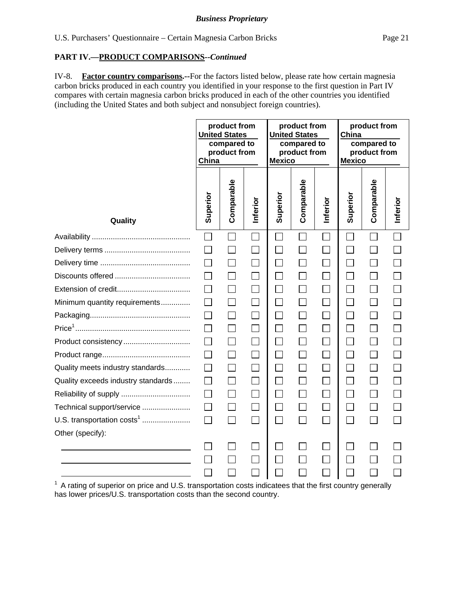IV-8. **Factor country comparisons.--**For the factors listed below, please rate how certain magnesia carbon bricks produced in each country you identified in your response to the first question in Part IV compares with certain magnesia carbon bricks produced in each of the other countries you identified (including the United States and both subject and nonsubject foreign countries).

|                                        | product from<br><b>United States</b><br>compared to<br>product from<br>China |              | product from<br><b>United States</b><br>compared to<br>product from<br><b>Mexico</b> |          |                             | product from<br>China<br>compared to<br>product from<br><b>Mexico</b> |                             |                   |          |
|----------------------------------------|------------------------------------------------------------------------------|--------------|--------------------------------------------------------------------------------------|----------|-----------------------------|-----------------------------------------------------------------------|-----------------------------|-------------------|----------|
| Quality                                | Superior                                                                     | Comparable   | Inferior                                                                             | Superior | Comparable                  | Inferior                                                              | Superior                    | Comparable        | Inferior |
|                                        |                                                                              |              |                                                                                      |          |                             |                                                                       |                             |                   |          |
|                                        |                                                                              |              |                                                                                      |          |                             | $\mathbf{L}$                                                          |                             |                   |          |
|                                        |                                                                              |              |                                                                                      |          |                             |                                                                       |                             |                   |          |
|                                        |                                                                              |              |                                                                                      | $\Box$   |                             | $\Box$                                                                |                             |                   |          |
|                                        |                                                                              |              |                                                                                      | $\Box$   |                             | $\Box$                                                                |                             |                   |          |
| Minimum quantity requirements          |                                                                              |              |                                                                                      | $\Box$   |                             |                                                                       |                             |                   |          |
|                                        |                                                                              | $\Box$       | M                                                                                    | $\Box$   |                             | $\Box$                                                                | $\mathcal{L}_{\mathcal{A}}$ | $\Box$            |          |
|                                        |                                                                              |              |                                                                                      | $\Box$   |                             | $\Box$                                                                |                             | $\Box$            |          |
| Product consistency                    |                                                                              |              |                                                                                      | $\Box$   |                             | $\Box$                                                                |                             | П                 |          |
|                                        |                                                                              |              |                                                                                      | $\Box$   |                             |                                                                       |                             |                   |          |
| Quality meets industry standards       |                                                                              | $\mathsf{L}$ |                                                                                      | П        |                             | $\Box$                                                                |                             | $\vert \ \ \vert$ |          |
| Quality exceeds industry standards     |                                                                              |              |                                                                                      | $\Box$   |                             | П                                                                     |                             |                   |          |
|                                        |                                                                              |              |                                                                                      | $\Box$   |                             |                                                                       |                             |                   |          |
| Technical support/service              |                                                                              | П            | $\Box$                                                                               | $\Box$   |                             | $\Box$                                                                |                             | П                 |          |
| U.S. transportation costs <sup>1</sup> | $\Box$                                                                       | $\Box$       | $\Box$                                                                               | $\Box$   | $\mathcal{L}_{\mathcal{A}}$ | $\Box$                                                                | ┐                           | $\Box$            |          |
| Other (specify):                       |                                                                              |              |                                                                                      |          |                             |                                                                       |                             |                   |          |
|                                        |                                                                              |              |                                                                                      |          |                             |                                                                       |                             |                   |          |
|                                        |                                                                              |              |                                                                                      |          |                             |                                                                       |                             |                   |          |
|                                        |                                                                              |              |                                                                                      |          |                             |                                                                       |                             |                   |          |

 $1$  A rating of superior on price and U.S. transportation costs indicatees that the first country generally has lower prices/U.S. transportation costs than the second country.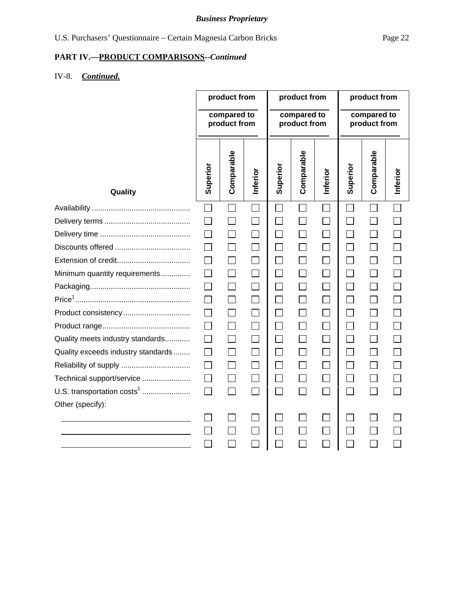# *Business Proprietary*

# **PART IV.—PRODUCT COMPARISONS***--Continued*

# IV-8. *Continued.*

|                                    | product from<br>compared to<br>product from |                   | product from<br>compared to<br>product from |                   |            | product from<br>compared to<br>product from |                             |            |          |
|------------------------------------|---------------------------------------------|-------------------|---------------------------------------------|-------------------|------------|---------------------------------------------|-----------------------------|------------|----------|
| Quality                            | Superior                                    | Comparable        | Inferior                                    | Superior          | Comparable | Inferior                                    | Superior                    | Comparable | Inferior |
|                                    | $\Box$                                      |                   | $\Box$                                      |                   | $\sim$     | $\mathcal{L}_{\mathcal{A}}$                 | $\mathcal{L}_{\mathcal{A}}$ |            | ×        |
|                                    | $\perp$                                     | $\blacksquare$    | $\Box$                                      | $\mathbf{I}$      |            | $\Box$                                      |                             |            |          |
|                                    |                                             |                   |                                             |                   |            |                                             |                             |            |          |
|                                    |                                             | $\mathsf{L}$      | П                                           | $\Box$            |            | $\Box$                                      | П                           | $\Box$     |          |
|                                    |                                             |                   |                                             |                   |            |                                             |                             |            |          |
| Minimum quantity requirements      |                                             |                   |                                             | $\Box$            |            | $\Box$                                      |                             |            |          |
|                                    |                                             |                   | П                                           | П                 |            | П                                           | П                           |            |          |
|                                    |                                             | $\Box$            | $\Box$                                      | $\Box$            |            | $\Box$                                      | $\Box$                      | $\Box$     |          |
| Product consistency                |                                             |                   |                                             | $\Box$            |            | $\Box$                                      | $\overline{\phantom{a}}$    | П          |          |
|                                    |                                             | $\Box$            | П                                           | $\Box$            |            | $\Box$                                      | $\Box$                      | П          |          |
| Quality meets industry standards   | $\mathbf{I}$                                | $\Box$            | $\perp$                                     | $\Box$            |            | $\Box$                                      | $\mathsf{L}$                | $\Box$     |          |
| Quality exceeds industry standards |                                             |                   |                                             | $\Box$            |            | П                                           | $\Box$                      | П          |          |
|                                    |                                             | $\Box$            |                                             | $\vert \ \ \vert$ |            | $\Box$                                      | $\Box$                      |            |          |
| Technical support/service          |                                             |                   |                                             |                   |            |                                             |                             |            |          |
| U.S. transportation $costs1$       | $\Box$                                      | $\vert \ \ \vert$ | П                                           | П                 |            | П                                           | П                           | $\Box$     |          |
| Other (specify):                   |                                             |                   |                                             |                   |            |                                             |                             |            |          |
|                                    |                                             |                   |                                             |                   |            |                                             |                             |            |          |
|                                    |                                             |                   |                                             |                   |            |                                             |                             |            |          |
|                                    |                                             |                   |                                             |                   |            |                                             |                             |            |          |